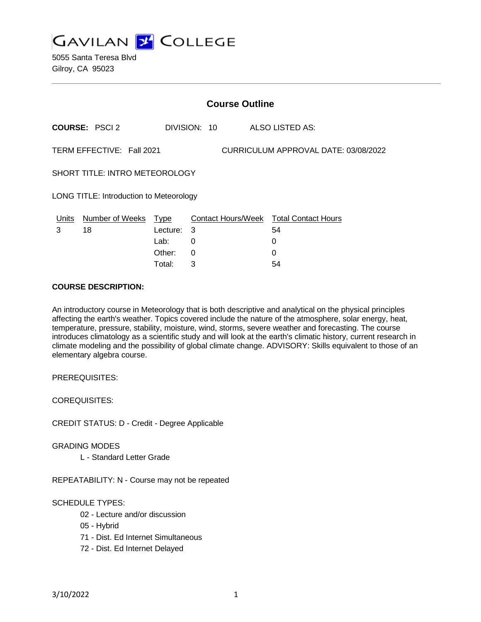

5055 Santa Teresa Blvd Gilroy, CA 95023

|                                                                   | <b>Course Outline</b> |                         |              |  |  |                                              |  |
|-------------------------------------------------------------------|-----------------------|-------------------------|--------------|--|--|----------------------------------------------|--|
|                                                                   | <b>COURSE: PSCI2</b>  |                         | DIVISION: 10 |  |  | ALSO LISTED AS:                              |  |
| TERM EFFECTIVE: Fall 2021<br>CURRICULUM APPROVAL DATE: 03/08/2022 |                       |                         |              |  |  |                                              |  |
| SHORT TITLE: INTRO METEOROLOGY                                    |                       |                         |              |  |  |                                              |  |
| LONG TITLE: Introduction to Meteorology                           |                       |                         |              |  |  |                                              |  |
| Units<br>3                                                        | Number of Weeks<br>18 | <b>Type</b><br>Lecture: | - 3          |  |  | Contact Hours/Week Total Contact Hours<br>54 |  |
|                                                                   |                       | Lab:                    | 0            |  |  | 0                                            |  |
|                                                                   |                       | Other:                  | 0            |  |  | 0                                            |  |

Total: 3 54

### **COURSE DESCRIPTION:**

An introductory course in Meteorology that is both descriptive and analytical on the physical principles affecting the earth's weather. Topics covered include the nature of the atmosphere, solar energy, heat, temperature, pressure, stability, moisture, wind, storms, severe weather and forecasting. The course introduces climatology as a scientific study and will look at the earth's climatic history, current research in climate modeling and the possibility of global climate change. ADVISORY: Skills equivalent to those of an elementary algebra course.

PREREQUISITES:

COREQUISITES:

CREDIT STATUS: D - Credit - Degree Applicable

#### GRADING MODES

L - Standard Letter Grade

REPEATABILITY: N - Course may not be repeated

## SCHEDULE TYPES:

- 02 Lecture and/or discussion
- 05 Hybrid
- 71 Dist. Ed Internet Simultaneous
- 72 Dist. Ed Internet Delayed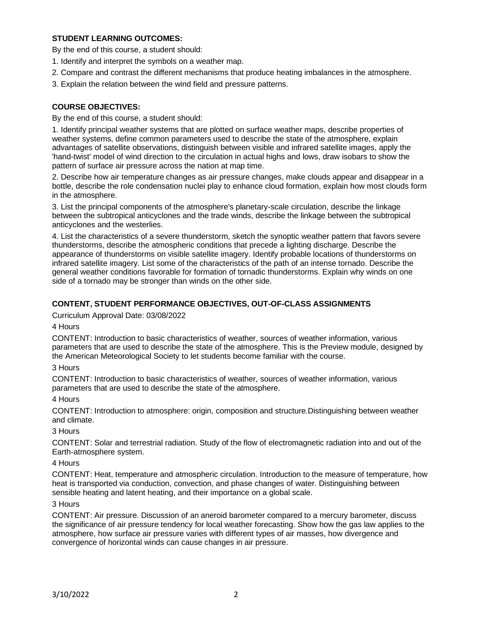# **STUDENT LEARNING OUTCOMES:**

By the end of this course, a student should:

- 1. Identify and interpret the symbols on a weather map.
- 2. Compare and contrast the different mechanisms that produce heating imbalances in the atmosphere.
- 3. Explain the relation between the wind field and pressure patterns.

## **COURSE OBJECTIVES:**

By the end of this course, a student should:

1. Identify principal weather systems that are plotted on surface weather maps, describe properties of weather systems, define common parameters used to describe the state of the atmosphere, explain advantages of satellite observations, distinguish between visible and infrared satellite images, apply the 'hand-twist' model of wind direction to the circulation in actual highs and lows, draw isobars to show the pattern of surface air pressure across the nation at map time.

2. Describe how air temperature changes as air pressure changes, make clouds appear and disappear in a bottle, describe the role condensation nuclei play to enhance cloud formation, explain how most clouds form in the atmosphere.

3. List the principal components of the atmosphere's planetary-scale circulation, describe the linkage between the subtropical anticyclones and the trade winds, describe the linkage between the subtropical anticyclones and the westerlies.

4. List the characteristics of a severe thunderstorm, sketch the synoptic weather pattern that favors severe thunderstorms, describe the atmospheric conditions that precede a lighting discharge. Describe the appearance of thunderstorms on visible satellite imagery. Identify probable locations of thunderstorms on infrared satellite imagery. List some of the characteristics of the path of an intense tornado. Describe the general weather conditions favorable for formation of tornadic thunderstorms. Explain why winds on one side of a tornado may be stronger than winds on the other side.

## **CONTENT, STUDENT PERFORMANCE OBJECTIVES, OUT-OF-CLASS ASSIGNMENTS**

Curriculum Approval Date: 03/08/2022

4 Hours

CONTENT: Introduction to basic characteristics of weather, sources of weather information, various parameters that are used to describe the state of the atmosphere. This is the Preview module, designed by the American Meteorological Society to let students become familiar with the course.

## 3 Hours

CONTENT: Introduction to basic characteristics of weather, sources of weather information, various parameters that are used to describe the state of the atmosphere.

## 4 Hours

CONTENT: Introduction to atmosphere: origin, composition and structure.Distinguishing between weather and climate.

## 3 Hours

CONTENT: Solar and terrestrial radiation. Study of the flow of electromagnetic radiation into and out of the Earth-atmosphere system.

## 4 Hours

CONTENT: Heat, temperature and atmospheric circulation. Introduction to the measure of temperature, how heat is transported via conduction, convection, and phase changes of water. Distinguishing between sensible heating and latent heating, and their importance on a global scale.

## 3 Hours

CONTENT: Air pressure. Discussion of an aneroid barometer compared to a mercury barometer, discuss the significance of air pressure tendency for local weather forecasting. Show how the gas law applies to the atmosphere, how surface air pressure varies with different types of air masses, how divergence and convergence of horizontal winds can cause changes in air pressure.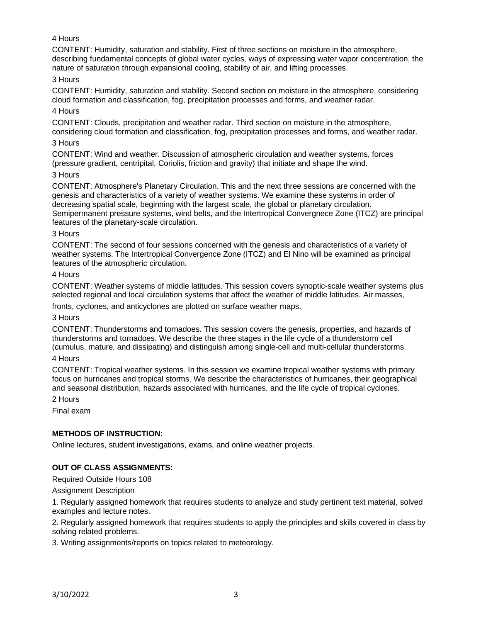# 4 Hours

CONTENT: Humidity, saturation and stability. First of three sections on moisture in the atmosphere, describing fundamental concepts of global water cycles, ways of expressing water vapor concentration, the nature of saturation through expansional cooling, stability of air, and lifting processes.

### 3 Hours

CONTENT: Humidity, saturation and stability. Second section on moisture in the atmosphere, considering cloud formation and classification, fog, precipitation processes and forms, and weather radar.

4 Hours

CONTENT: Clouds, precipitation and weather radar. Third section on moisture in the atmosphere, considering cloud formation and classification, fog, precipitation processes and forms, and weather radar.

# 3 Hours

CONTENT: Wind and weather. Discussion of atmospheric circulation and weather systems, forces (pressure gradient, centripital, Coriolis, friction and gravity) that initiate and shape the wind.

### 3 Hours

CONTENT: Atmosphere's Planetary Circulation. This and the next three sessions are concerned with the genesis and characteristics of a variety of weather systems. We examine these systems in order of decreasing spatial scale, beginning with the largest scale, the global or planetary circulation. Semipermanent pressure systems, wind belts, and the Intertropical Convergnece Zone (ITCZ) are principal features of the planetary-scale circulation.

#### 3 Hours

CONTENT: The second of four sessions concerned with the genesis and characteristics of a variety of weather systems. The Intertropical Convergence Zone (ITCZ) and El Nino will be examined as principal features of the atmospheric circulation.

### 4 Hours

CONTENT: Weather systems of middle latitudes. This session covers synoptic-scale weather systems plus selected regional and local circulation systems that affect the weather of middle latitudes. Air masses,

fronts, cyclones, and anticyclones are plotted on surface weather maps.

## 3 Hours

CONTENT: Thunderstorms and tornadoes. This session covers the genesis, properties, and hazards of thunderstorms and tornadoes. We describe the three stages in the life cycle of a thunderstorm cell (cumulus, mature, and dissipating) and distinguish among single-cell and multi-cellular thunderstorms.

## 4 Hours

CONTENT: Tropical weather systems. In this session we examine tropical weather systems with primary focus on hurricanes and tropical storms. We describe the characteristics of hurricanes, their geographical and seasonal distribution, hazards associated with hurricanes, and the life cycle of tropical cyclones.

2 Hours

Final exam

## **METHODS OF INSTRUCTION:**

Online lectures, student investigations, exams, and online weather projects.

## **OUT OF CLASS ASSIGNMENTS:**

Required Outside Hours 108

Assignment Description

1. Regularly assigned homework that requires students to analyze and study pertinent text material, solved examples and lecture notes.

2. Regularly assigned homework that requires students to apply the principles and skills covered in class by solving related problems.

3. Writing assignments/reports on topics related to meteorology.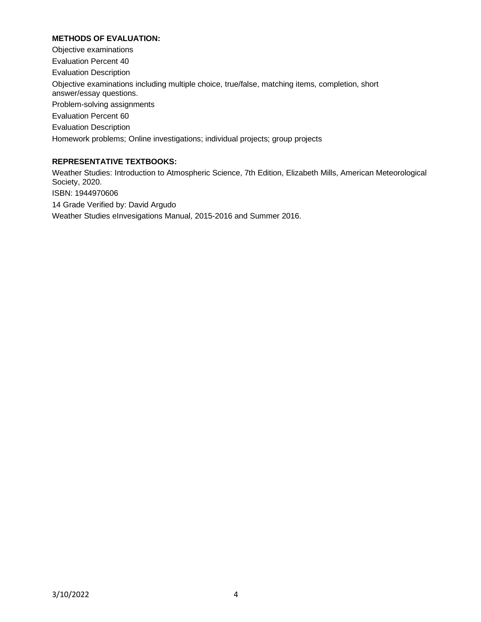# **METHODS OF EVALUATION:**

Objective examinations Evaluation Percent 40 Evaluation Description Objective examinations including multiple choice, true/false, matching items, completion, short answer/essay questions. Problem-solving assignments Evaluation Percent 60 Evaluation Description Homework problems; Online investigations; individual projects; group projects

### **REPRESENTATIVE TEXTBOOKS:**

Weather Studies: Introduction to Atmospheric Science, 7th Edition, Elizabeth Mills, American Meteorological Society, 2020. ISBN: 1944970606 14 Grade Verified by: David Argudo Weather Studies eInvesigations Manual, 2015-2016 and Summer 2016.